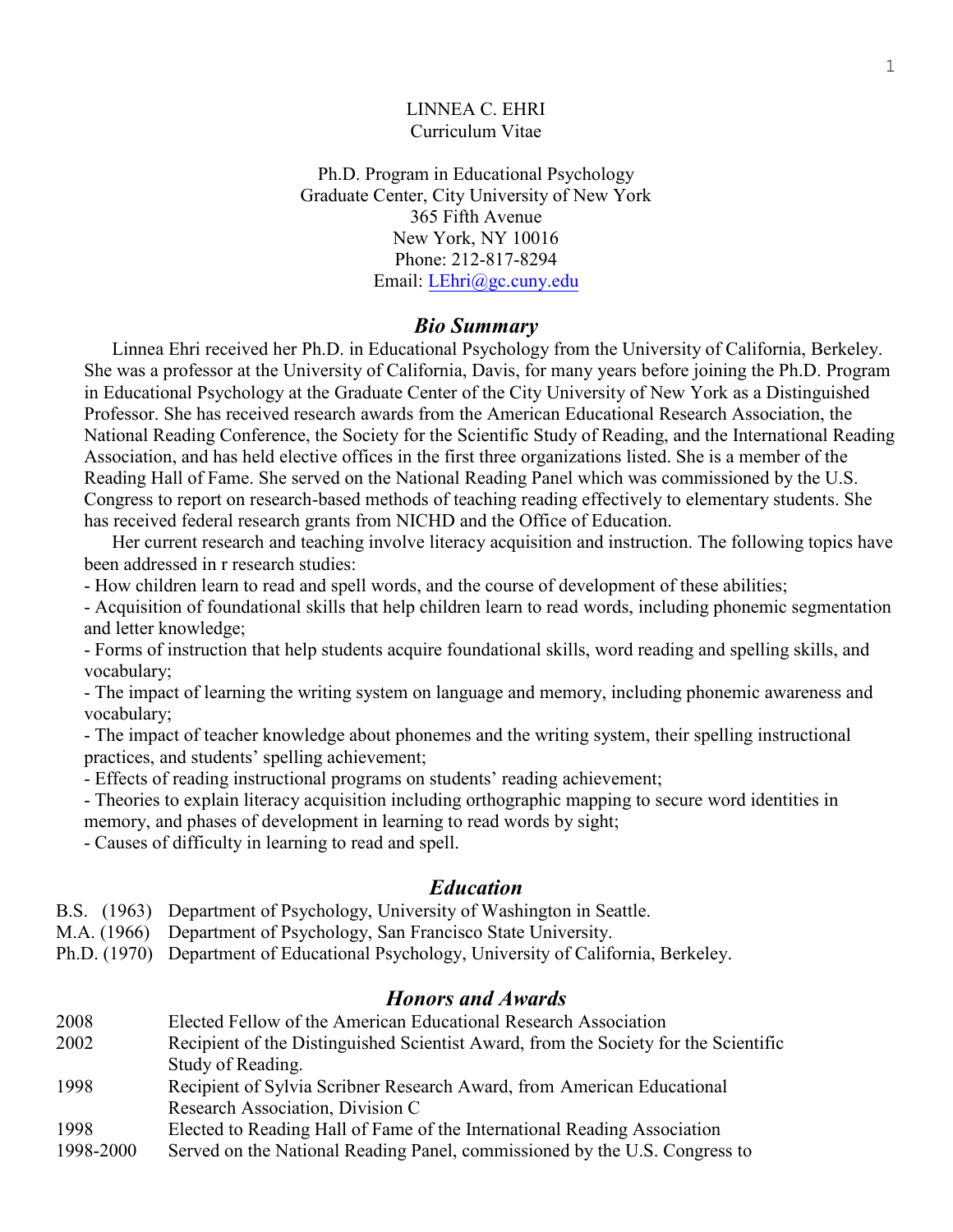#### LINNEA C. EHRI Curriculum Vitae

Ph.D. Program in Educational Psychology Graduate Center, City University of New York 365 Fifth Avenue New York, NY 10016 Phone: 212-817-8294 Email: [LEhri@gc.cuny.edu](mailto:LEhri@gc.cuny.edu)

#### *Bio Summary*

 Linnea Ehri received her Ph.D. in Educational Psychology from the University of California, Berkeley. She was a professor at the University of California, Davis, for many years before joining the Ph.D. Program in Educational Psychology at the Graduate Center of the City University of New York as a Distinguished Professor. She has received research awards from the American Educational Research Association, the National Reading Conference, the Society for the Scientific Study of Reading, and the International Reading Association, and has held elective offices in the first three organizations listed. She is a member of the Reading Hall of Fame. She served on the National Reading Panel which was commissioned by the U.S. Congress to report on research-based methods of teaching reading effectively to elementary students. She has received federal research grants from NICHD and the Office of Education.

Her current research and teaching involve literacy acquisition and instruction. The following topics have been addressed in r research studies:

- How children learn to read and spell words, and the course of development of these abilities;

- Acquisition of foundational skills that help children learn to read words, including phonemic segmentation and letter knowledge;

- Forms of instruction that help students acquire foundational skills, word reading and spelling skills, and vocabulary;

- The impact of learning the writing system on language and memory, including phonemic awareness and vocabulary;

- The impact of teacher knowledge about phonemes and the writing system, their spelling instructional practices, and students' spelling achievement;

- Effects of reading instructional programs on students' reading achievement;

- Theories to explain literacy acquisition including orthographic mapping to secure word identities in memory, and phases of development in learning to read words by sight;

- Causes of difficulty in learning to read and spell.

### *Education*

- B.S. (1963) Department of Psychology, University of Washington in Seattle.
- M.A. (1966) Department of Psychology, San Francisco State University.
- Ph.D. (1970) Department of Educational Psychology, University of California, Berkeley.

## *Honors and Awards*

- 2008 Elected Fellow of the American Educational Research Association
- 2002 Recipient of the Distinguished Scientist Award, from the Society for the Scientific Study of Reading.
- 1998 Recipient of Sylvia Scribner Research Award, from American Educational Research Association, Division C
- 1998 Elected to Reading Hall of Fame of the International Reading Association
- 1998-2000 Served on the National Reading Panel, commissioned by the U.S. Congress to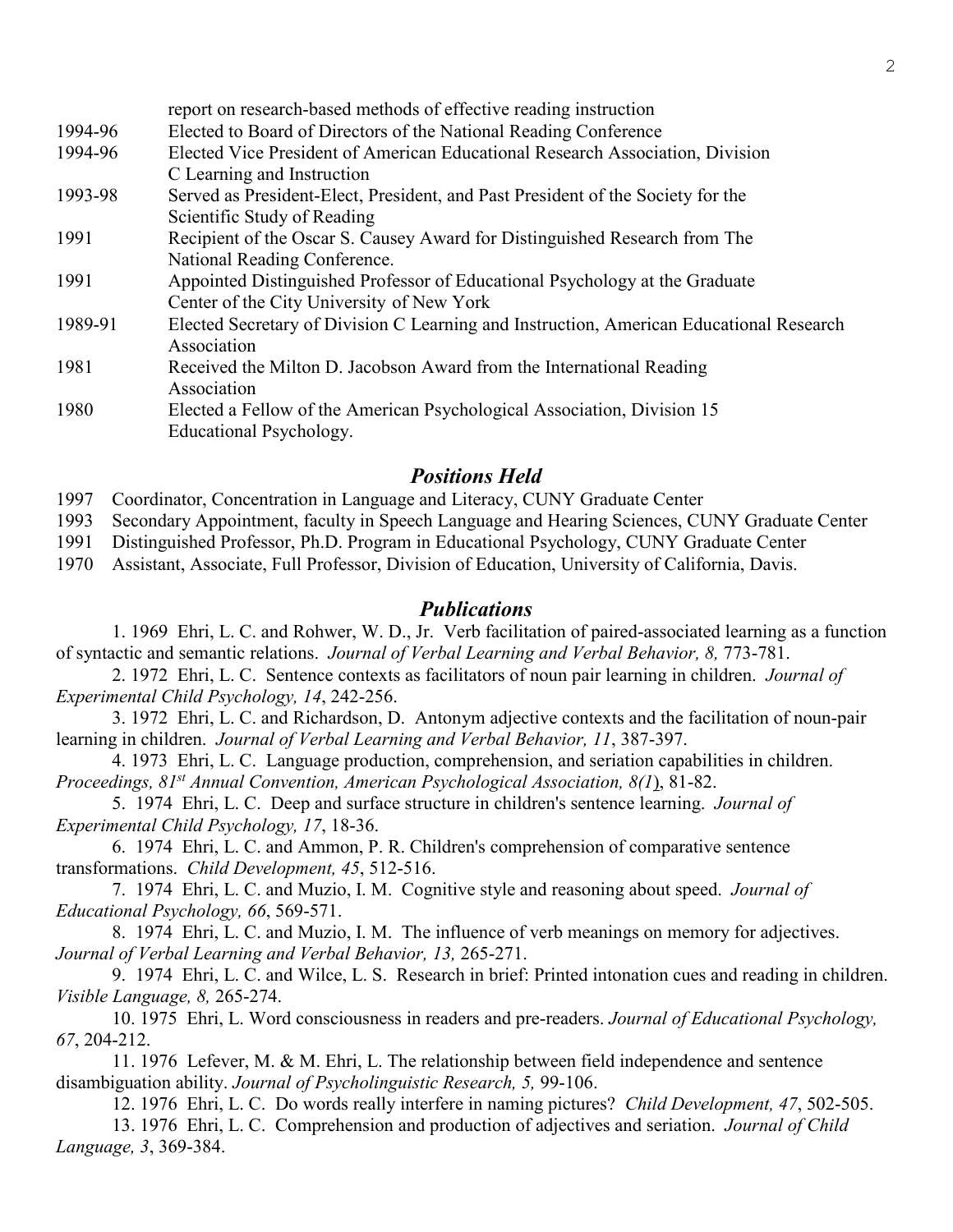|         | report on research-based methods of effective reading instruction                                      |
|---------|--------------------------------------------------------------------------------------------------------|
| 1994-96 | Elected to Board of Directors of the National Reading Conference                                       |
| 1994-96 | Elected Vice President of American Educational Research Association, Division                          |
|         | C Learning and Instruction                                                                             |
| 1993-98 | Served as President-Elect, President, and Past President of the Society for the                        |
|         | Scientific Study of Reading                                                                            |
| 1991    | Recipient of the Oscar S. Causey Award for Distinguished Research from The                             |
|         | National Reading Conference.                                                                           |
| 1991    | Appointed Distinguished Professor of Educational Psychology at the Graduate                            |
|         | Center of the City University of New York                                                              |
| 1989-91 | Elected Secretary of Division C Learning and Instruction, American Educational Research<br>Association |
| 1981    | Received the Milton D. Jacobson Award from the International Reading                                   |
|         | Association                                                                                            |
| 1980    | Elected a Fellow of the American Psychological Association, Division 15                                |
|         | Educational Psychology.                                                                                |

# *Positions Held*

1997 Coordinator, Concentration in Language and Literacy, CUNY Graduate Center

1993 Secondary Appointment, faculty in Speech Language and Hearing Sciences, CUNY Graduate Center

1991 Distinguished Professor, Ph.D. Program in Educational Psychology, CUNY Graduate Center

1970 Assistant, Associate, Full Professor, Division of Education, University of California, Davis.

## *Publications*

1. 1969 Ehri, L. C. and Rohwer, W. D., Jr. Verb facilitation of paired-associated learning as a function of syntactic and semantic relations. *Journal of Verbal Learning and Verbal Behavior, 8,* 773-781.

2. 1972 Ehri, L. C. Sentence contexts as facilitators of noun pair learning in children. *Journal of Experimental Child Psychology, 14*, 242-256.

3. 1972 Ehri, L. C. and Richardson, D. Antonym adjective contexts and the facilitation of noun-pair learning in children. *Journal of Verbal Learning and Verbal Behavior, 11*, 387-397.

4. 1973 Ehri, L. C. Language production, comprehension, and seriation capabilities in children. *Proceedings, 81st Annual Convention, American Psychological Association, 8(1*), 81-82.

5. 1974 Ehri, L. C. Deep and surface structure in children's sentence learning. *Journal of Experimental Child Psychology, 17*, 18-36.

6. 1974 Ehri, L. C. and Ammon, P. R. Children's comprehension of comparative sentence transformations. *Child Development, 45*, 512-516.

7. 1974 Ehri, L. C. and Muzio, I. M. Cognitive style and reasoning about speed. *Journal of Educational Psychology, 66*, 569-571.

8. 1974 Ehri, L. C. and Muzio, I. M. The influence of verb meanings on memory for adjectives. *Journal of Verbal Learning and Verbal Behavior, 13,* 265-271.

9. 1974 Ehri, L. C. and Wilce, L. S. Research in brief: Printed intonation cues and reading in children. *Visible Language, 8,* 265-274.

10. 1975 Ehri, L. Word consciousness in readers and pre-readers. *Journal of Educational Psychology, 67*, 204-212.

11. 1976 Lefever, M. & M. Ehri, L. The relationship between field independence and sentence disambiguation ability. *Journal of Psycholinguistic Research, 5,* 99-106.

12. 1976 Ehri, L. C. Do words really interfere in naming pictures? *Child Development, 47*, 502-505.

13. 1976 Ehri, L. C. Comprehension and production of adjectives and seriation. *Journal of Child Language, 3*, 369-384.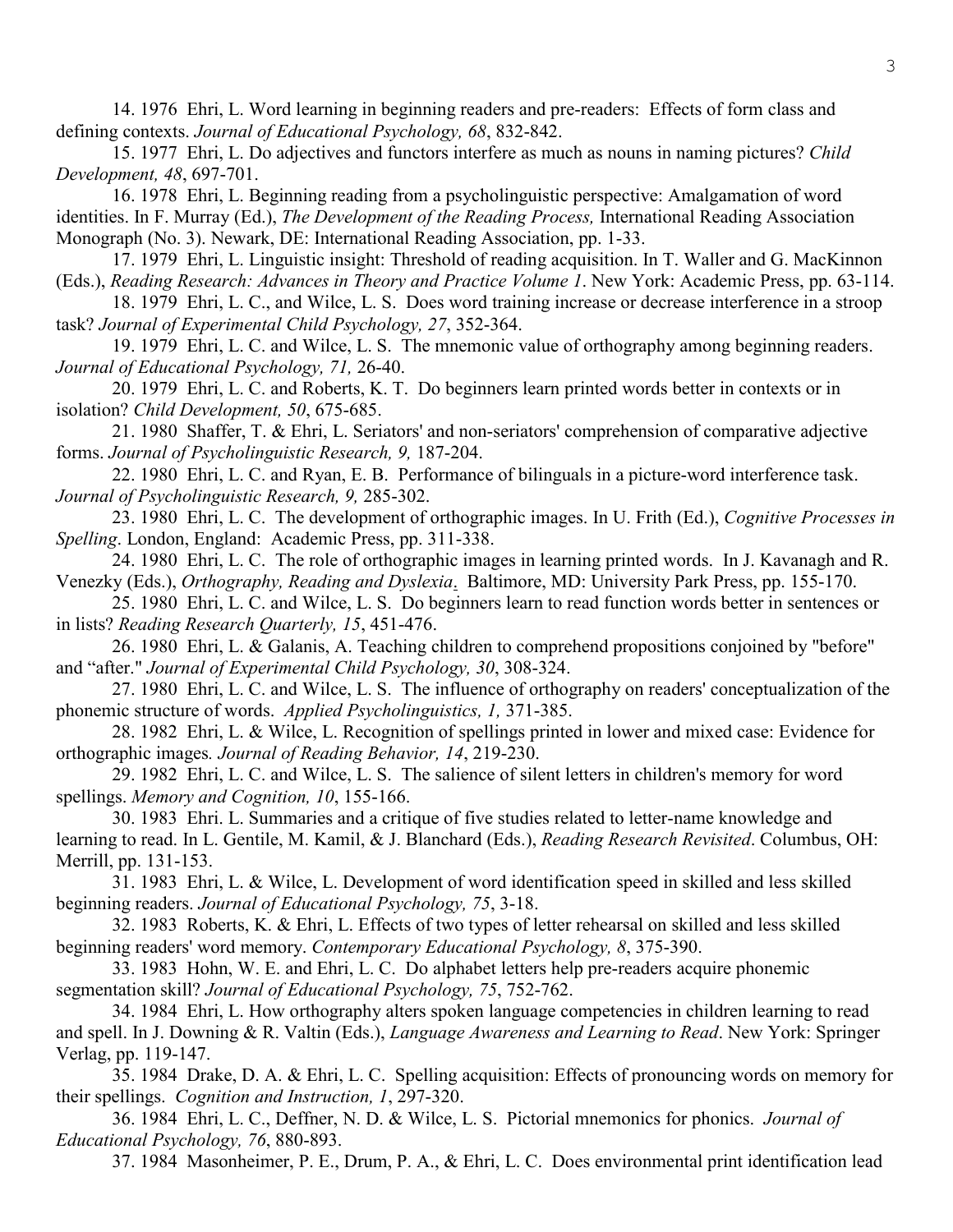14. 1976 Ehri, L. Word learning in beginning readers and pre-readers: Effects of form class and defining contexts. *Journal of Educational Psychology, 68*, 832-842.

15. 1977 Ehri, L. Do adjectives and functors interfere as much as nouns in naming pictures? *Child Development, 48*, 697-701.

16. 1978 Ehri, L. Beginning reading from a psycholinguistic perspective: Amalgamation of word identities. In F. Murray (Ed.), *The Development of the Reading Process,* International Reading Association Monograph (No. 3). Newark, DE: International Reading Association, pp. 1-33.

17. 1979 Ehri, L. Linguistic insight: Threshold of reading acquisition. In T. Waller and G. MacKinnon (Eds.), *Reading Research: Advances in Theory and Practice Volume 1*. New York: Academic Press, pp. 63-114.

18. 1979 Ehri, L. C., and Wilce, L. S. Does word training increase or decrease interference in a stroop task? *Journal of Experimental Child Psychology, 27*, 352-364.

19. 1979 Ehri, L. C. and Wilce, L. S. The mnemonic value of orthography among beginning readers. *Journal of Educational Psychology, 71,* 26-40.

20. 1979 Ehri, L. C. and Roberts, K. T. Do beginners learn printed words better in contexts or in isolation? *Child Development, 50*, 675-685.

21. 1980 Shaffer, T. & Ehri, L. Seriators' and non-seriators' comprehension of comparative adjective forms. *Journal of Psycholinguistic Research, 9,* 187-204.

22. 1980 Ehri, L. C. and Ryan, E. B. Performance of bilinguals in a picture-word interference task. *Journal of Psycholinguistic Research, 9,* 285-302.

23. 1980 Ehri, L. C. The development of orthographic images. In U. Frith (Ed.), *Cognitive Processes in Spelling*. London, England: Academic Press, pp. 311-338.

24. 1980 Ehri, L. C. The role of orthographic images in learning printed words. In J. Kavanagh and R. Venezky (Eds.), *Orthography, Reading and Dyslexia*. Baltimore, MD: University Park Press, pp. 155-170.

25. 1980 Ehri, L. C. and Wilce, L. S. Do beginners learn to read function words better in sentences or in lists? *Reading Research Quarterly, 15*, 451-476.

26. 1980 Ehri, L. & Galanis, A. Teaching children to comprehend propositions conjoined by "before" and "after." *Journal of Experimental Child Psychology, 30*, 308-324.

27. 1980 Ehri, L. C. and Wilce, L. S. The influence of orthography on readers' conceptualization of the phonemic structure of words. *Applied Psycholinguistics, 1,* 371-385.

28. 1982 Ehri, L. & Wilce, L. Recognition of spellings printed in lower and mixed case: Evidence for orthographic images*. Journal of Reading Behavior, 14*, 219-230.

29. 1982 Ehri, L. C. and Wilce, L. S. The salience of silent letters in children's memory for word spellings. *Memory and Cognition, 10*, 155-166.

30. 1983 Ehri. L. Summaries and a critique of five studies related to letter-name knowledge and learning to read. In L. Gentile, M. Kamil, & J. Blanchard (Eds.), *Reading Research Revisited*. Columbus, OH: Merrill, pp. 131-153.

31. 1983 Ehri, L. & Wilce, L. Development of word identification speed in skilled and less skilled beginning readers. *Journal of Educational Psychology, 75*, 3-18.

32. 1983 Roberts, K. & Ehri, L. Effects of two types of letter rehearsal on skilled and less skilled beginning readers' word memory. *Contemporary Educational Psychology, 8*, 375-390.

33. 1983 Hohn, W. E. and Ehri, L. C. Do alphabet letters help pre-readers acquire phonemic segmentation skill? *Journal of Educational Psychology, 75*, 752-762.

34. 1984 Ehri, L. How orthography alters spoken language competencies in children learning to read and spell. In J. Downing & R. Valtin (Eds.), *Language Awareness and Learning to Read*. New York: Springer Verlag, pp. 119-147.

35. 1984 Drake, D. A. & Ehri, L. C. Spelling acquisition: Effects of pronouncing words on memory for their spellings. *Cognition and Instruction, 1*, 297-320.

36. 1984 Ehri, L. C., Deffner, N. D. & Wilce, L. S. Pictorial mnemonics for phonics. *Journal of Educational Psychology, 76*, 880-893.

37. 1984 Masonheimer, P. E., Drum, P. A., & Ehri, L. C. Does environmental print identification lead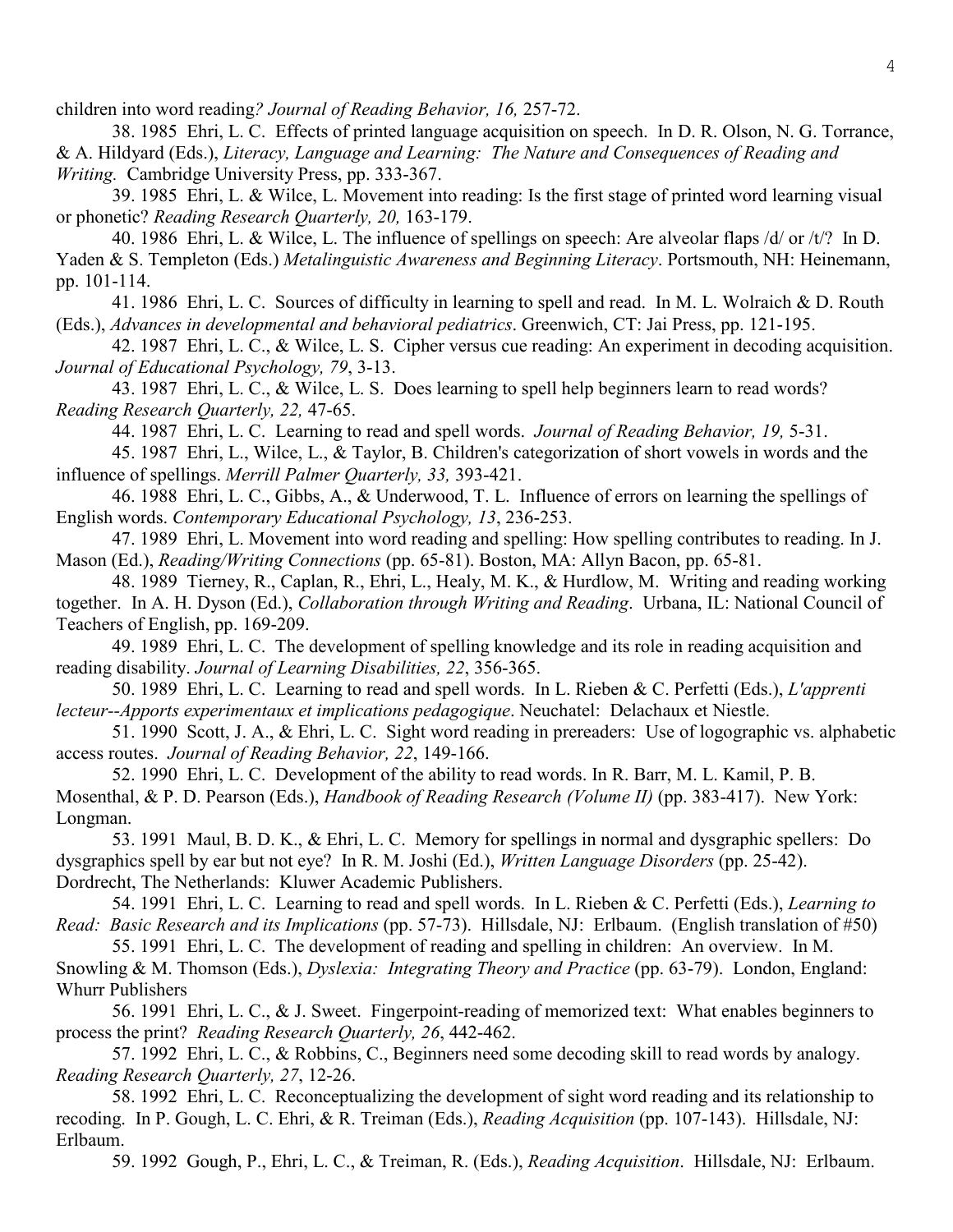children into word reading*? Journal of Reading Behavior, 16,* 257-72.

38. 1985 Ehri, L. C. Effects of printed language acquisition on speech. In D. R. Olson, N. G. Torrance, & A. Hildyard (Eds.), *Literacy, Language and Learning: The Nature and Consequences of Reading and Writing.* Cambridge University Press, pp. 333-367.

39. 1985 Ehri, L. & Wilce, L. Movement into reading: Is the first stage of printed word learning visual or phonetic? *Reading Research Quarterly, 20,* 163-179.

40. 1986 Ehri, L. & Wilce, L. The influence of spellings on speech: Are alveolar flaps /d/ or /t/? In D. Yaden & S. Templeton (Eds.) *Metalinguistic Awareness and Beginning Literacy*. Portsmouth, NH: Heinemann, pp. 101-114.

41. 1986 Ehri, L. C. Sources of difficulty in learning to spell and read. In M. L. Wolraich & D. Routh (Eds.), *Advances in developmental and behavioral pediatrics*. Greenwich, CT: Jai Press, pp. 121-195.

42. 1987 Ehri, L. C., & Wilce, L. S. Cipher versus cue reading: An experiment in decoding acquisition. *Journal of Educational Psychology, 79*, 3-13.

43. 1987 Ehri, L. C., & Wilce, L. S. Does learning to spell help beginners learn to read words? *Reading Research Quarterly, 22,* 47-65.

44. 1987 Ehri, L. C. Learning to read and spell words. *Journal of Reading Behavior, 19,* 5-31.

45. 1987 Ehri, L., Wilce, L., & Taylor, B. Children's categorization of short vowels in words and the influence of spellings. *Merrill Palmer Quarterly, 33,* 393-421.

46. 1988 Ehri, L. C., Gibbs, A., & Underwood, T. L. Influence of errors on learning the spellings of English words. *Contemporary Educational Psychology, 13*, 236-253.

47. 1989 Ehri, L. Movement into word reading and spelling: How spelling contributes to reading. In J. Mason (Ed.), *Reading/Writing Connections* (pp. 65-81). Boston, MA: Allyn Bacon, pp. 65-81.

48. 1989 Tierney, R., Caplan, R., Ehri, L., Healy, M. K., & Hurdlow, M. Writing and reading working together. In A. H. Dyson (Ed.), *Collaboration through Writing and Reading*. Urbana, IL: National Council of Teachers of English, pp. 169-209.

49. 1989 Ehri, L. C. The development of spelling knowledge and its role in reading acquisition and reading disability. *Journal of Learning Disabilities, 22*, 356-365.

50. 1989 Ehri, L. C. Learning to read and spell words. In L. Rieben & C. Perfetti (Eds.), *L'apprenti lecteur--Apports experimentaux et implications pedagogique*. Neuchatel: Delachaux et Niestle.

51. 1990 Scott, J. A., & Ehri, L. C. Sight word reading in prereaders: Use of logographic vs. alphabetic access routes. *Journal of Reading Behavior, 22*, 149-166.

52. 1990 Ehri, L. C. Development of the ability to read words. In R. Barr, M. L. Kamil, P. B. Mosenthal, & P. D. Pearson (Eds.), *Handbook of Reading Research (Volume II)* (pp. 383-417). New York: Longman.

53. 1991 Maul, B. D. K., & Ehri, L. C. Memory for spellings in normal and dysgraphic spellers: Do dysgraphics spell by ear but not eye? In R. M. Joshi (Ed.), *Written Language Disorders* (pp. 25-42). Dordrecht, The Netherlands: Kluwer Academic Publishers.

54. 1991 Ehri, L. C. Learning to read and spell words. In L. Rieben & C. Perfetti (Eds.), *Learning to Read: Basic Research and its Implications* (pp. 57-73). Hillsdale, NJ: Erlbaum. (English translation of #50)

55. 1991 Ehri, L. C. The development of reading and spelling in children: An overview. In M. Snowling & M. Thomson (Eds.), *Dyslexia: Integrating Theory and Practice* (pp. 63-79). London, England: Whurr Publishers

56. 1991 Ehri, L. C., & J. Sweet. Fingerpoint-reading of memorized text: What enables beginners to process the print? *Reading Research Quarterly, 26*, 442-462.

57. 1992 Ehri, L. C., & Robbins, C., Beginners need some decoding skill to read words by analogy. *Reading Research Quarterly, 27*, 12-26.

58. 1992 Ehri, L. C. Reconceptualizing the development of sight word reading and its relationship to recoding. In P. Gough, L. C. Ehri, & R. Treiman (Eds.), *Reading Acquisition* (pp. 107-143). Hillsdale, NJ: Erlbaum.

59. 1992 Gough, P., Ehri, L. C., & Treiman, R. (Eds.), *Reading Acquisition*. Hillsdale, NJ: Erlbaum.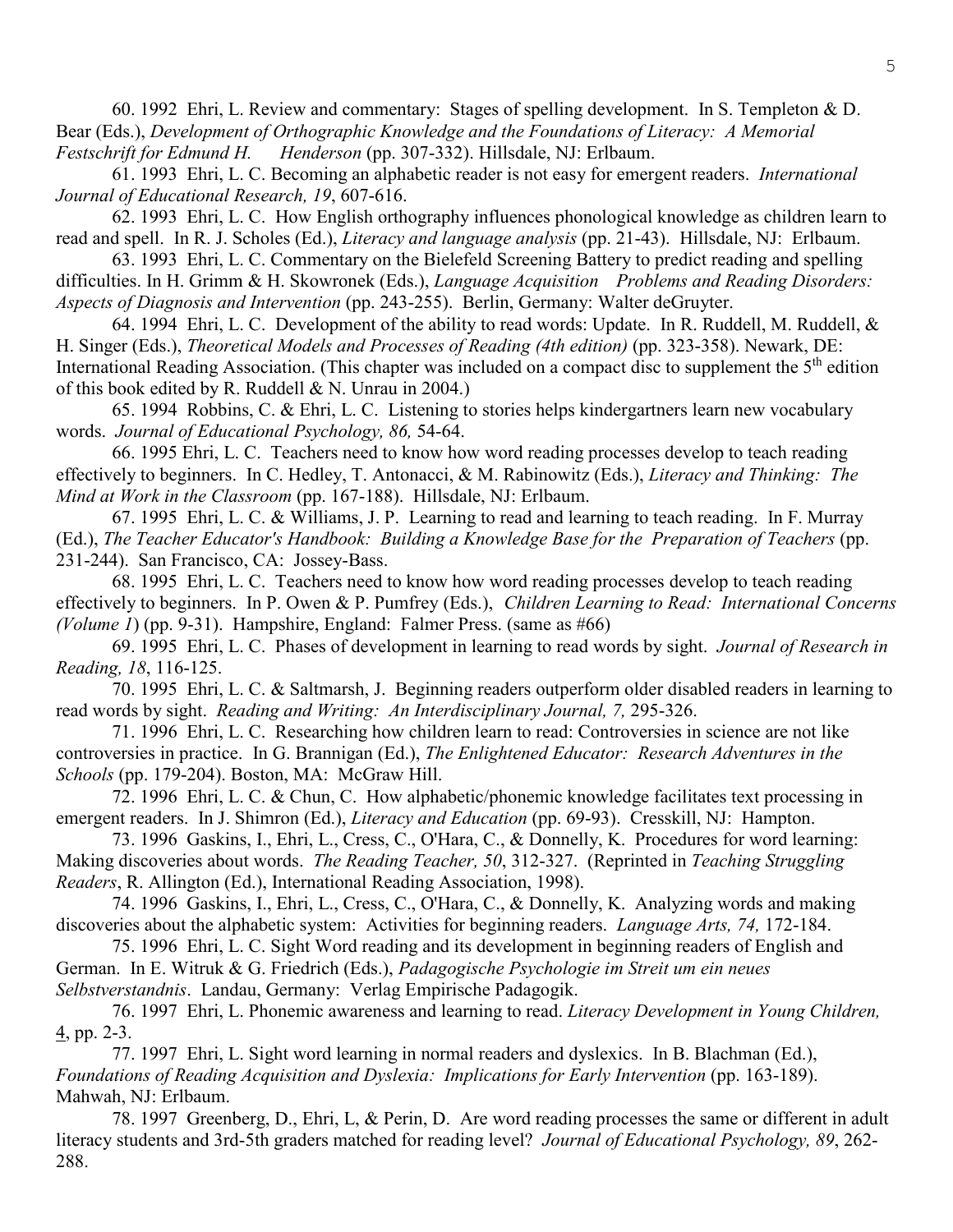60. 1992 Ehri, L. Review and commentary: Stages of spelling development. In S. Templeton & D. Bear (Eds.), *Development of Orthographic Knowledge and the Foundations of Literacy: A Memorial Festschrift for Edmund H. Henderson* (pp. 307-332). Hillsdale, NJ: Erlbaum.

61. 1993 Ehri, L. C. Becoming an alphabetic reader is not easy for emergent readers. *International Journal of Educational Research, 19*, 607-616.

62. 1993 Ehri, L. C. How English orthography influences phonological knowledge as children learn to read and spell. In R. J. Scholes (Ed.), *Literacy and language analysis* (pp. 21-43). Hillsdale, NJ: Erlbaum.

63. 1993 Ehri, L. C. Commentary on the Bielefeld Screening Battery to predict reading and spelling difficulties. In H. Grimm & H. Skowronek (Eds.), *Language Acquisition Problems and Reading Disorders: Aspects of Diagnosis and Intervention* (pp. 243-255). Berlin, Germany: Walter deGruyter.

64. 1994 Ehri, L. C. Development of the ability to read words: Update. In R. Ruddell, M. Ruddell, & H. Singer (Eds.), *Theoretical Models and Processes of Reading (4th edition)* (pp. 323-358). Newark, DE: International Reading Association. (This chapter was included on a compact disc to supplement the 5<sup>th</sup> edition of this book edited by R. Ruddell & N. Unrau in 2004.)

65. 1994 Robbins, C. & Ehri, L. C. Listening to stories helps kindergartners learn new vocabulary words. *Journal of Educational Psychology, 86,* 54-64.

66. 1995 Ehri, L. C. Teachers need to know how word reading processes develop to teach reading effectively to beginners. In C. Hedley, T. Antonacci, & M. Rabinowitz (Eds.), *Literacy and Thinking: The Mind at Work in the Classroom* (pp. 167-188). Hillsdale, NJ: Erlbaum.

67. 1995 Ehri, L. C. & Williams, J. P. Learning to read and learning to teach reading. In F. Murray (Ed.), *The Teacher Educator's Handbook: Building a Knowledge Base for the Preparation of Teachers* (pp. 231-244). San Francisco, CA: Jossey-Bass.

68. 1995 Ehri, L. C. Teachers need to know how word reading processes develop to teach reading effectively to beginners. In P. Owen & P. Pumfrey (Eds.), *Children Learning to Read: International Concerns (Volume 1*) (pp. 9-31). Hampshire, England: Falmer Press. (same as #66)

69. 1995 Ehri, L. C. Phases of development in learning to read words by sight. *Journal of Research in Reading, 18*, 116-125.

70. 1995 Ehri, L. C. & Saltmarsh, J. Beginning readers outperform older disabled readers in learning to read words by sight. *Reading and Writing: An Interdisciplinary Journal, 7,* 295-326.

71. 1996 Ehri, L. C. Researching how children learn to read: Controversies in science are not like controversies in practice. In G. Brannigan (Ed.), *The Enlightened Educator: Research Adventures in the Schools* (pp. 179-204). Boston, MA: McGraw Hill.

72. 1996 Ehri, L. C. & Chun, C. How alphabetic/phonemic knowledge facilitates text processing in emergent readers. In J. Shimron (Ed.), *Literacy and Education* (pp. 69-93). Cresskill, NJ: Hampton.

73. 1996 Gaskins, I., Ehri, L., Cress, C., O'Hara, C., & Donnelly, K. Procedures for word learning: Making discoveries about words. *The Reading Teacher, 50*, 312-327. (Reprinted in *Teaching Struggling Readers*, R. Allington (Ed.), International Reading Association, 1998).

74. 1996 Gaskins, I., Ehri, L., Cress, C., O'Hara, C., & Donnelly, K. Analyzing words and making discoveries about the alphabetic system: Activities for beginning readers. *Language Arts, 74,* 172-184.

75. 1996 Ehri, L. C. Sight Word reading and its development in beginning readers of English and German. In E. Witruk & G. Friedrich (Eds.), *Padagogische Psychologie im Streit um ein neues Selbstverstandnis*. Landau, Germany: Verlag Empirische Padagogik.

76. 1997 Ehri, L. Phonemic awareness and learning to read. *Literacy Development in Young Children,* 4, pp. 2-3.

77. 1997 Ehri, L. Sight word learning in normal readers and dyslexics. In B. Blachman (Ed.), *Foundations of Reading Acquisition and Dyslexia: Implications for Early Intervention* (pp. 163-189). Mahwah, NJ: Erlbaum.

78. 1997 Greenberg, D., Ehri, L, & Perin, D. Are word reading processes the same or different in adult literacy students and 3rd-5th graders matched for reading level? *Journal of Educational Psychology, 89*, 262- 288.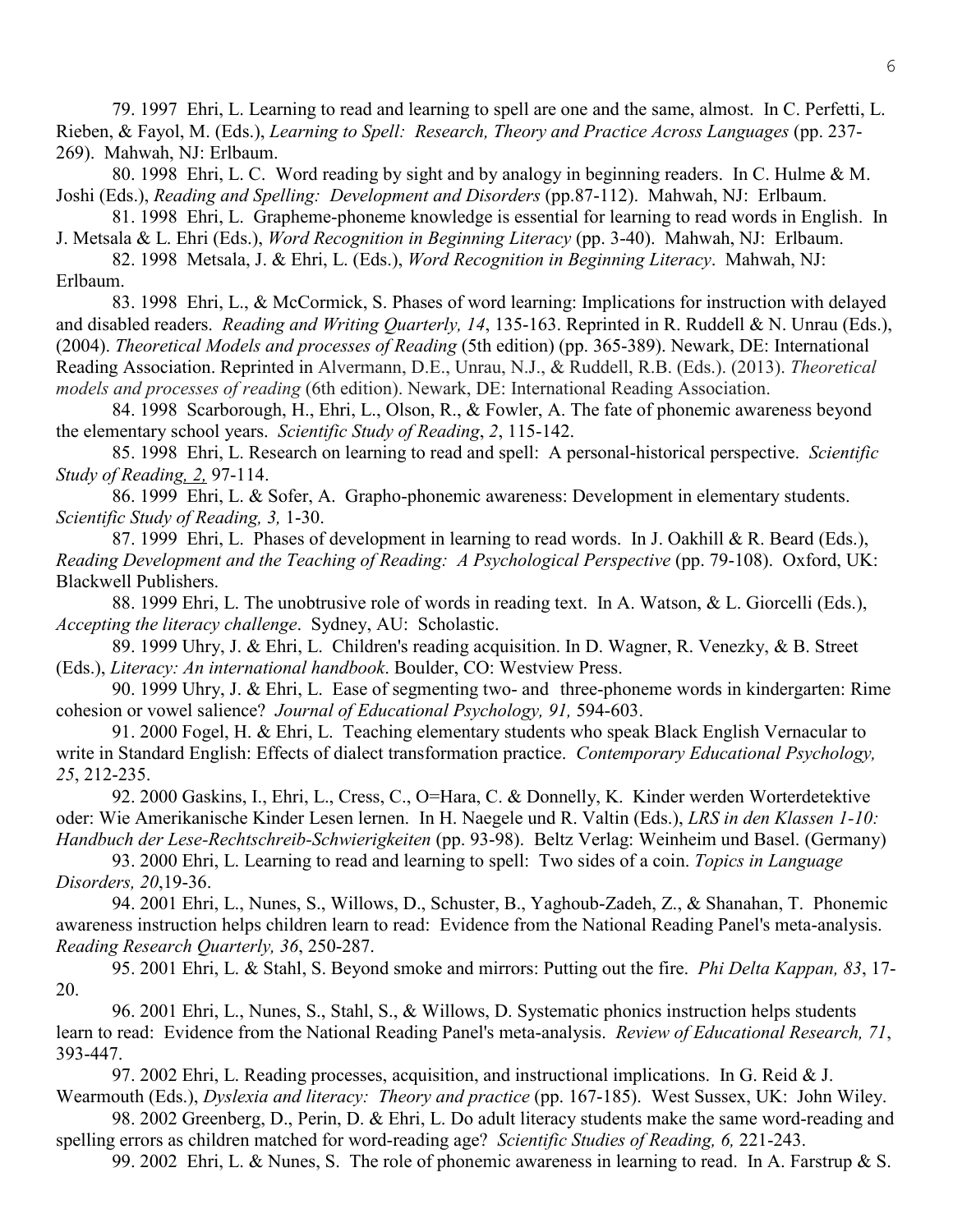79. 1997 Ehri, L. Learning to read and learning to spell are one and the same, almost. In C. Perfetti, L. Rieben, & Fayol, M. (Eds.), *Learning to Spell: Research, Theory and Practice Across Languages* (pp. 237- 269). Mahwah, NJ: Erlbaum.

80. 1998 Ehri, L. C. Word reading by sight and by analogy in beginning readers. In C. Hulme & M. Joshi (Eds.), *Reading and Spelling: Development and Disorders* (pp.87-112). Mahwah, NJ: Erlbaum.

81. 1998 Ehri, L. Grapheme-phoneme knowledge is essential for learning to read words in English. In J. Metsala & L. Ehri (Eds.), *Word Recognition in Beginning Literacy* (pp. 3-40). Mahwah, NJ: Erlbaum.

82. 1998 Metsala, J. & Ehri, L. (Eds.), *Word Recognition in Beginning Literacy*. Mahwah, NJ: Erlbaum.

83. 1998 Ehri, L., & McCormick, S. Phases of word learning: Implications for instruction with delayed and disabled readers. *Reading and Writing Quarterly, 14*, 135-163. Reprinted in R. Ruddell & N. Unrau (Eds.), (2004). *Theoretical Models and processes of Reading* (5th edition) (pp. 365-389). Newark, DE: International Reading Association. Reprinted in Alvermann, D.E., Unrau, N.J., & Ruddell, R.B. (Eds.). (2013). *Theoretical models and processes of reading* (6th edition). Newark, DE: International Reading Association.

84. 1998 Scarborough, H., Ehri, L., Olson, R., & Fowler, A. The fate of phonemic awareness beyond the elementary school years. *Scientific Study of Reading*, *2*, 115-142.

85. 1998 Ehri, L. Research on learning to read and spell: A personal-historical perspective. *Scientific Study of Reading, 2,* 97-114.

86. 1999 Ehri, L. & Sofer, A. Grapho-phonemic awareness: Development in elementary students. *Scientific Study of Reading, 3,* 1-30.

87. 1999 Ehri, L. Phases of development in learning to read words. In J. Oakhill & R. Beard (Eds.), *Reading Development and the Teaching of Reading: A Psychological Perspective* (pp. 79-108). Oxford, UK: Blackwell Publishers.

88. 1999 Ehri, L. The unobtrusive role of words in reading text. In A. Watson, & L. Giorcelli (Eds.), *Accepting the literacy challenge*. Sydney, AU: Scholastic.

89. 1999 Uhry, J. & Ehri, L. Children's reading acquisition. In D. Wagner, R. Venezky, & B. Street (Eds.), *Literacy: An international handbook*. Boulder, CO: Westview Press.

90. 1999 Uhry, J. & Ehri, L. Ease of segmenting two- and three-phoneme words in kindergarten: Rime cohesion or vowel salience? *Journal of Educational Psychology, 91,* 594-603.

91. 2000 Fogel, H. & Ehri, L. Teaching elementary students who speak Black English Vernacular to write in Standard English: Effects of dialect transformation practice. *Contemporary Educational Psychology, 25*, 212-235.

92. 2000 Gaskins, I., Ehri, L., Cress, C., O=Hara, C. & Donnelly, K. Kinder werden Worterdetektive oder: Wie Amerikanische Kinder Lesen lernen. In H. Naegele und R. Valtin (Eds.), *LRS in den Klassen 1-10: Handbuch der Lese-Rechtschreib-Schwierigkeiten* (pp. 93-98). Beltz Verlag: Weinheim und Basel. (Germany)

93. 2000 Ehri, L. Learning to read and learning to spell: Two sides of a coin. *Topics in Language Disorders, 20*,19-36.

94. 2001 Ehri, L., Nunes, S., Willows, D., Schuster, B., Yaghoub-Zadeh, Z., & Shanahan, T. Phonemic awareness instruction helps children learn to read: Evidence from the National Reading Panel's meta-analysis. *Reading Research Quarterly, 36*, 250-287.

95. 2001 Ehri, L. & Stahl, S. Beyond smoke and mirrors: Putting out the fire. *Phi Delta Kappan, 83*, 17- 20.

96. 2001 Ehri, L., Nunes, S., Stahl, S., & Willows, D. Systematic phonics instruction helps students learn to read: Evidence from the National Reading Panel's meta-analysis. *Review of Educational Research, 71*, 393-447.

97. 2002 Ehri, L. Reading processes, acquisition, and instructional implications. In G. Reid & J. Wearmouth (Eds.), *Dyslexia and literacy: Theory and practice* (pp. 167-185). West Sussex, UK: John Wiley.

98. 2002 Greenberg, D., Perin, D. & Ehri, L. Do adult literacy students make the same word-reading and spelling errors as children matched for word-reading age? *Scientific Studies of Reading, 6,* 221-243.

99. 2002 Ehri, L. & Nunes, S. The role of phonemic awareness in learning to read. In A. Farstrup & S.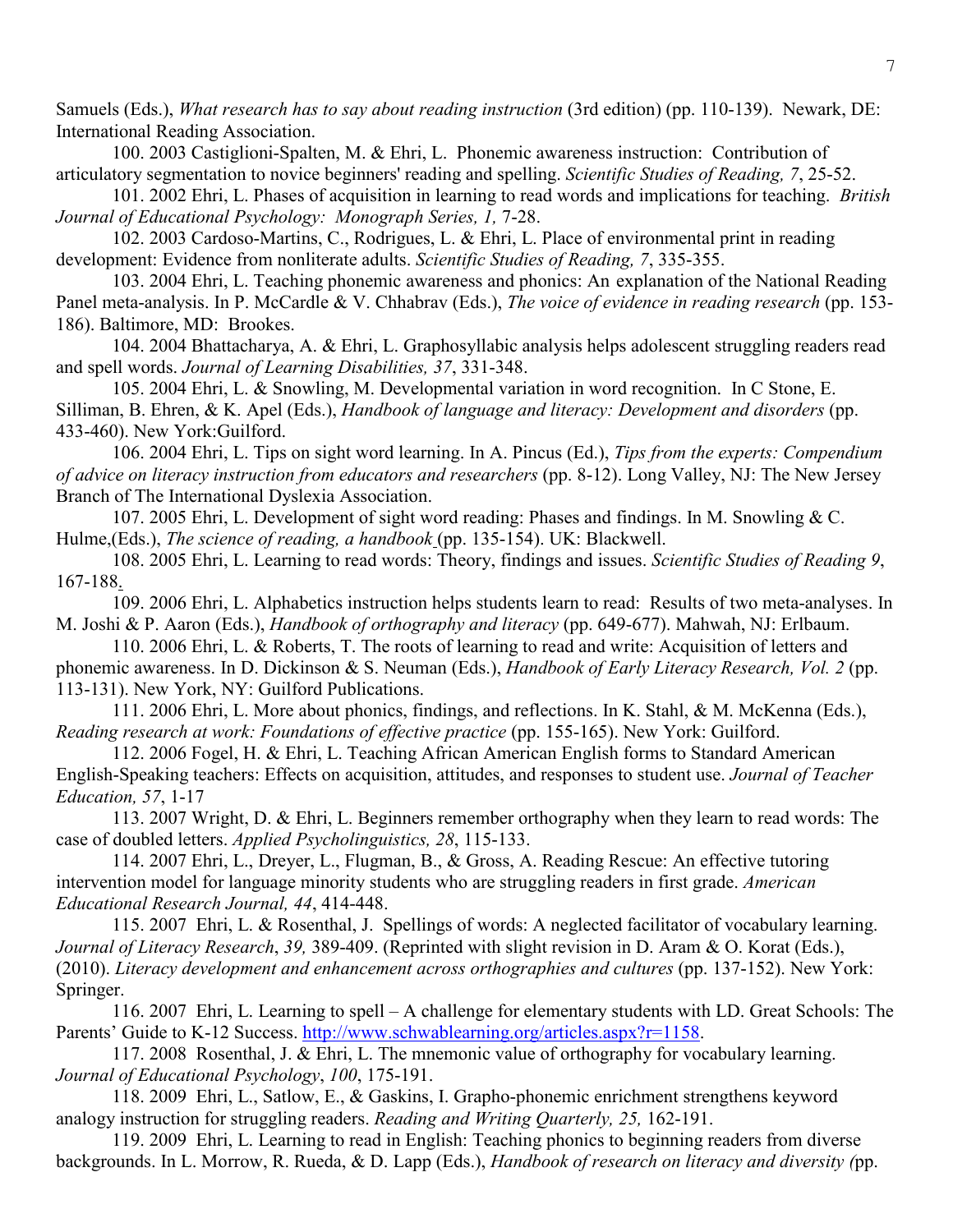Samuels (Eds.), *What research has to say about reading instruction* (3rd edition) (pp. 110-139). Newark, DE: International Reading Association.

100. 2003 Castiglioni-Spalten, M. & Ehri, L. Phonemic awareness instruction: Contribution of articulatory segmentation to novice beginners' reading and spelling. *Scientific Studies of Reading, 7*, 25-52.

101. 2002 Ehri, L. Phases of acquisition in learning to read words and implications for teaching. *British Journal of Educational Psychology: Monograph Series, 1,* 7-28.

102. 2003 Cardoso-Martins, C., Rodrigues, L. & Ehri, L. Place of environmental print in reading development: Evidence from nonliterate adults. *Scientific Studies of Reading, 7*, 335-355.

103. 2004 Ehri, L. Teaching phonemic awareness and phonics: An explanation of the National Reading Panel meta-analysis. In P. McCardle & V. Chhabrav (Eds.), *The voice of evidence in reading research* (pp. 153- 186). Baltimore, MD: Brookes.

104. 2004 Bhattacharya, A. & Ehri, L. Graphosyllabic analysis helps adolescent struggling readers read and spell words. *Journal of Learning Disabilities, 37*, 331-348.

105. 2004 Ehri, L. & Snowling, M. Developmental variation in word recognition. In C Stone, E. Silliman, B. Ehren, & K. Apel (Eds.), *Handbook of language and literacy: Development and disorders* (pp. 433-460). New York:Guilford.

106. 2004 Ehri, L. Tips on sight word learning. In A. Pincus (Ed.), *Tips from the experts: Compendium of advice on literacy instruction from educators and researchers* (pp. 8-12). Long Valley, NJ: The New Jersey Branch of The International Dyslexia Association.

107. 2005 Ehri, L. Development of sight word reading: Phases and findings. In M. Snowling & C. Hulme,(Eds.), *The science of reading, a handbook* (pp. 135-154). UK: Blackwell.

108. 2005 Ehri, L. Learning to read words: Theory, findings and issues. *Scientific Studies of Reading 9*, 167-188.

109. 2006 Ehri, L. Alphabetics instruction helps students learn to read: Results of two meta-analyses. In M. Joshi & P. Aaron (Eds.), *Handbook of orthography and literacy* (pp. 649-677). Mahwah, NJ: Erlbaum.

110. 2006 Ehri, L. & Roberts, T. The roots of learning to read and write: Acquisition of letters and phonemic awareness. In D. Dickinson & S. Neuman (Eds.), *Handbook of Early Literacy Research, Vol. 2* (pp. 113-131). New York, NY: Guilford Publications.

111. 2006 Ehri, L. More about phonics, findings, and reflections. In K. Stahl, & M. McKenna (Eds.), *Reading research at work: Foundations of effective practice* (pp. 155-165). New York: Guilford.

112. 2006 Fogel, H. & Ehri, L. Teaching African American English forms to Standard American English-Speaking teachers: Effects on acquisition, attitudes, and responses to student use. *Journal of Teacher Education, 57*, 1-17

113. 2007 Wright, D. & Ehri, L. Beginners remember orthography when they learn to read words: The case of doubled letters. *Applied Psycholinguistics, 28*, 115-133.

114. 2007 Ehri, L., Dreyer, L., Flugman, B., & Gross, A. Reading Rescue: An effective tutoring intervention model for language minority students who are struggling readers in first grade. *American Educational Research Journal, 44*, 414-448.

115. 2007 Ehri, L. & Rosenthal, J. Spellings of words: A neglected facilitator of vocabulary learning. *Journal of Literacy Research*, *39,* 389-409. (Reprinted with slight revision in D. Aram & O. Korat (Eds.), (2010). *Literacy development and enhancement across orthographies and cultures* (pp. 137-152). New York: Springer.

116. 2007 Ehri, L. Learning to spell – A challenge for elementary students with LD. Great Schools: The Parents' Guide to K-12 Success. [http://www.schwablearning.org/articles.aspx?r=1158.](http://www.schwablearning.org/articles.aspx?r=1158)

117. 2008 Rosenthal, J. & Ehri, L. The mnemonic value of orthography for vocabulary learning. *Journal of Educational Psychology*, *100*, 175-191.

118. 2009 Ehri, L., Satlow, E., & Gaskins, I. Grapho-phonemic enrichment strengthens keyword analogy instruction for struggling readers. *Reading and Writing Quarterly, 25,* 162-191.

119. 2009 Ehri, L. Learning to read in English: Teaching phonics to beginning readers from diverse backgrounds. In L. Morrow, R. Rueda, & D. Lapp (Eds.), *Handbook of research on literacy and diversity (*pp.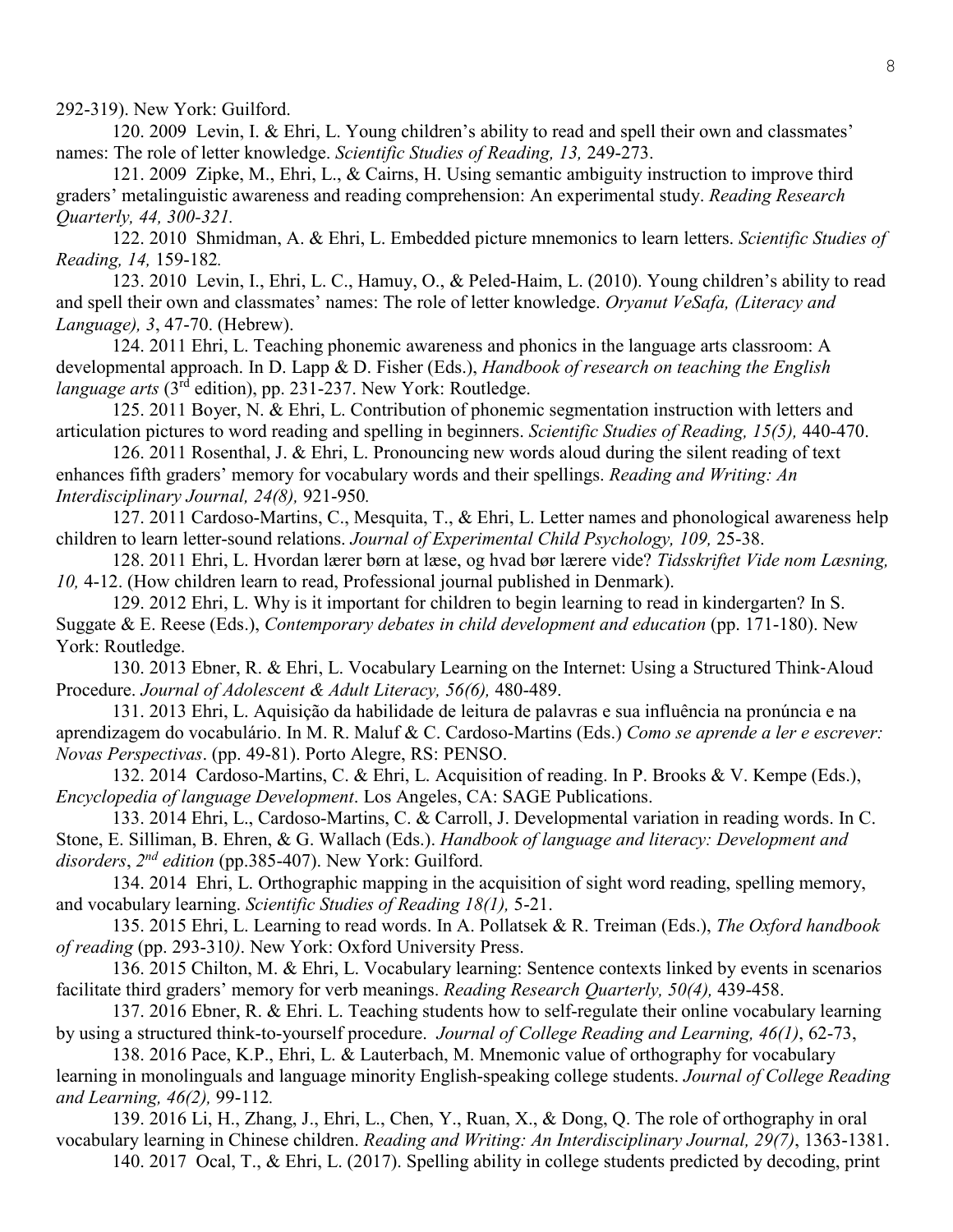292-319). New York: Guilford.

120. 2009 Levin, I. & Ehri, L. Young children's ability to read and spell their own and classmates' names: The role of letter knowledge. *Scientific Studies of Reading, 13,* 249-273.

121. 2009 Zipke, M., Ehri, L., & Cairns, H. Using semantic ambiguity instruction to improve third graders' metalinguistic awareness and reading comprehension: An experimental study. *Reading Research Quarterly, 44, 300-321.*

122. 2010 Shmidman, A. & Ehri, L. Embedded picture mnemonics to learn letters. *Scientific Studies of Reading, 14,* 159-182*.*

123. 2010 Levin, I., Ehri, L. C., Hamuy, O., & Peled-Haim, L. (2010). Young children's ability to read and spell their own and classmates' names: The role of letter knowledge. *Oryanut VeSafa, (Literacy and Language), 3*, 47-70. (Hebrew).

124. 2011 Ehri, L. Teaching phonemic awareness and phonics in the language arts classroom: A developmental approach. In D. Lapp & D. Fisher (Eds.), *Handbook of research on teaching the English language arts* (3rd edition), pp. 231-237. New York: Routledge.

125. 2011 Boyer, N. & Ehri, L. Contribution of phonemic segmentation instruction with letters and articulation pictures to word reading and spelling in beginners. *Scientific Studies of Reading, 15(5),* 440-470.

126. 2011 Rosenthal, J. & Ehri, L. Pronouncing new words aloud during the silent reading of text enhances fifth graders' memory for vocabulary words and their spellings. *Reading and Writing: An Interdisciplinary Journal, 24(8),* 921-950*.*

127. 2011 Cardoso-Martins, C., Mesquita, T., & Ehri, L. Letter names and phonological awareness help children to learn letter-sound relations. *Journal of Experimental Child Psychology, 109,* 25-38.

128. 2011 Ehri, L. Hvordan lærer børn at læse, og hvad bør lærere vide? *Tidsskriftet Vide nom Læsning, 10,* 4-12. (How children learn to read, Professional journal published in Denmark).

129. 2012 Ehri, L. Why is it important for children to begin learning to read in kindergarten? In S. Suggate & E. Reese (Eds.), *Contemporary debates in child development and education* (pp. 171-180). New York: Routledge.

130. 2013 Ebner, R. & Ehri, L. Vocabulary Learning on the Internet: Using a Structured Think-Aloud Procedure. *Journal of Adolescent & Adult Literacy, 56(6),* 480-489.

131. 2013 Ehri, L. Aquisição da habilidade de leitura de palavras e sua influência na pronúncia e na aprendizagem do vocabulário. In M. R. Maluf & C. Cardoso-Martins (Eds.) *Como se aprende a ler e escrever: Novas Perspectivas*. (pp. 49-81). Porto Alegre, RS: PENSO.

132. 2014 Cardoso-Martins, C. & Ehri, L. Acquisition of reading. In P. Brooks & V. Kempe (Eds.), *Encyclopedia of language Development*. Los Angeles, CA: SAGE Publications.

133. 2014 Ehri, L., Cardoso-Martins, C. & Carroll, J. Developmental variation in reading words. In C. Stone, E. Silliman, B. Ehren, & G. Wallach (Eds.). *Handbook of language and literacy: Development and disorders*, *2nd edition* (pp.385-407). New York: Guilford.

134. 2014 Ehri, L. Orthographic mapping in the acquisition of sight word reading, spelling memory, and vocabulary learning. *Scientific Studies of Reading 18(1),* 5-21.

135. 2015 Ehri, L. Learning to read words. In A. Pollatsek & R. Treiman (Eds.), *The Oxford handbook of reading* (pp. 293-310*)*. New York: Oxford University Press.

136. 2015 Chilton, M. & Ehri, L. Vocabulary learning: Sentence contexts linked by events in scenarios facilitate third graders' memory for verb meanings. *Reading Research Quarterly, 50(4),* 439-458.

137. 2016 Ebner, R. & Ehri. L. Teaching students how to self-regulate their online vocabulary learning by using a structured think-to-yourself procedure. *Journal of College Reading and Learning, 46(1)*, 62-73,

138. 2016 Pace, K.P., Ehri, L. & Lauterbach, M. Mnemonic value of orthography for vocabulary learning in monolinguals and language minority English-speaking college students. *Journal of College Reading and Learning, 46(2),* 99-112*.*

139. 2016 Li, H., Zhang, J., Ehri, L., Chen, Y., Ruan, X., & Dong, Q. The role of orthography in oral vocabulary learning in Chinese children. *Reading and Writing: An Interdisciplinary Journal, 29(7)*, 1363-1381.

140. 2017 Ocal, T., & Ehri, L. (2017). Spelling ability in college students predicted by decoding, print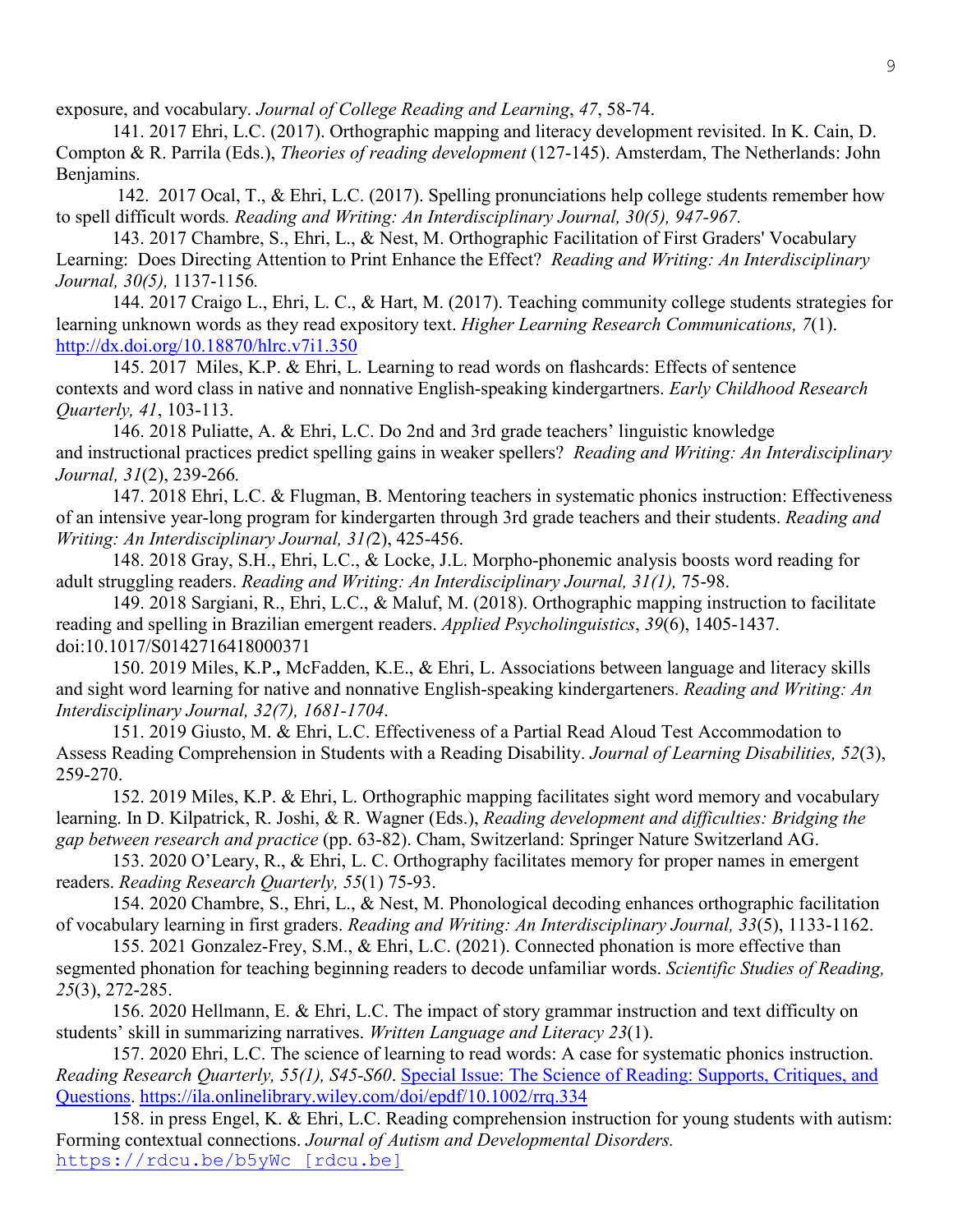exposure, and vocabulary. *Journal of College Reading and Learning*, *47*, 58-74.

141. 2017 Ehri, L.C. (2017). Orthographic mapping and literacy development revisited. In K. Cain, D. Compton & R. Parrila (Eds.), *Theories of reading development* (127-145). Amsterdam, The Netherlands: John Benjamins.

142. 2017 Ocal, T., & Ehri, L.C. (2017). Spelling pronunciations help college students remember how to spell difficult words*. Reading and Writing: An Interdisciplinary Journal, 30(5), 947-967.*

143. 2017 Chambre, S., Ehri, L., & Nest, M. Orthographic Facilitation of First Graders' Vocabulary Learning: Does Directing Attention to Print Enhance the Effect? *Reading and Writing: An Interdisciplinary Journal, 30(5),* 1137-1156*.*

144. 2017 Craigo L., Ehri, L. C., & Hart, M. (2017). Teaching community college students strategies for learning unknown words as they read expository text. *Higher Learning Research Communications, 7*(1). <http://dx.doi.org/10.18870/hlrc.v7i1.350>

145. 2017 Miles, K.P. & Ehri, L. Learning to read words on flashcards: Effects of sentence contexts and word class in native and nonnative English-speaking kindergartners. *Early Childhood Research Quarterly, 41*, 103-113.

146. 2018 Puliatte, A. & Ehri, L.C. Do 2nd and 3rd grade teachers' linguistic knowledge and instructional practices predict spelling gains in weaker spellers? *Reading and Writing: An Interdisciplinary Journal, 31*(2), 239-266*.*

147. 2018 Ehri, L.C. & Flugman, B. Mentoring teachers in systematic phonics instruction: Effectiveness of an intensive year-long program for kindergarten through 3rd grade teachers and their students. *Reading and Writing: An Interdisciplinary Journal, 31(*2), 425-456.

148. 2018 Gray, S.H., Ehri, L.C., & Locke, J.L. Morpho-phonemic analysis boosts word reading for adult struggling readers. *Reading and Writing: An Interdisciplinary Journal, 31(1),* 75-98.

149. 2018 Sargiani, R., Ehri, L.C., & Maluf, M. (2018). Orthographic mapping instruction to facilitate reading and spelling in Brazilian emergent readers. *Applied Psycholinguistics*, *39*(6), 1405-1437. doi:10.1017/S0142716418000371

150. 2019 Miles, K.P.*,* McFadden, K.E., & Ehri, L. Associations between language and literacy skills and sight word learning for native and nonnative English-speaking kindergarteners. *Reading and Writing: An Interdisciplinary Journal, 32(7), 1681-1704*.

151. 2019 Giusto, M. & Ehri, L.C. Effectiveness of a Partial Read Aloud Test Accommodation to Assess Reading Comprehension in Students with a Reading Disability. *Journal of Learning Disabilities, 52*(3), 259-270.

152. 2019 Miles, K.P. & Ehri, L. Orthographic mapping facilitates sight word memory and vocabulary learning. In D. Kilpatrick, R. Joshi, & R. Wagner (Eds.), *Reading development and difficulties: Bridging the gap between research and practice* (pp. 63-82). Cham, Switzerland: Springer Nature Switzerland AG.

153. 2020 O'Leary, R., & Ehri, L. C. Orthography facilitates memory for proper names in emergent readers. *Reading Research Quarterly, 55*(1) 75-93.

154. 2020 Chambre, S., Ehri, L., & Nest, M. Phonological decoding enhances orthographic facilitation of vocabulary learning in first graders. *Reading and Writing: An Interdisciplinary Journal, 33*(5), 1133-1162.

155. 2021 Gonzalez-Frey, S.M., & Ehri, L.C. (2021). Connected phonation is more effective than segmented phonation for teaching beginning readers to decode unfamiliar words. *Scientific Studies of Reading, 25*(3), 272-285.

156. 2020 Hellmann, E. & Ehri, L.C. The impact of story grammar instruction and text difficulty on students' skill in summarizing narratives. *Written Language and Literacy 23*(1).

157. 2020 Ehri, L.C. The science of learning to read words: A case for systematic phonics instruction. *Reading Research Quarterly, 55(1), S45-S60*. [Special Issue: The Science of Reading: Supports, Critiques, and](https://ila.onlinelibrary.wiley.com/toc/19362722/2020/55/S1)  [Questions.](https://ila.onlinelibrary.wiley.com/toc/19362722/2020/55/S1) <https://ila.onlinelibrary.wiley.com/doi/epdf/10.1002/rrq.334>

158. in press Engel, K. & Ehri, L.C. Reading comprehension instruction for young students with autism: Forming contextual connections. *Journal of Autism and Developmental Disorders.*  [https://rdcu.be/b5yWc \[rdcu.be\]](https://urldefense.proofpoint.com/v2/url?u=https-3A__rdcu.be_b5yWc&d=DwMFaQ&c=8v77JlHZOYsReeOxyYXDU39VUUzHxyfBUh7fw_ZfBDA&r=7wvModOgCMbTORj3pTlfMg4wl3sh9lFhmEl_kodPe9E&m=bSVysW53fy3GlyQanarCScn7yWAhECcI5RQlDrwOeSw&s=jJYxoaWD4DH0GhHvfsOJ-epredFsG2lKiaA3dJNQ_-o&e=)